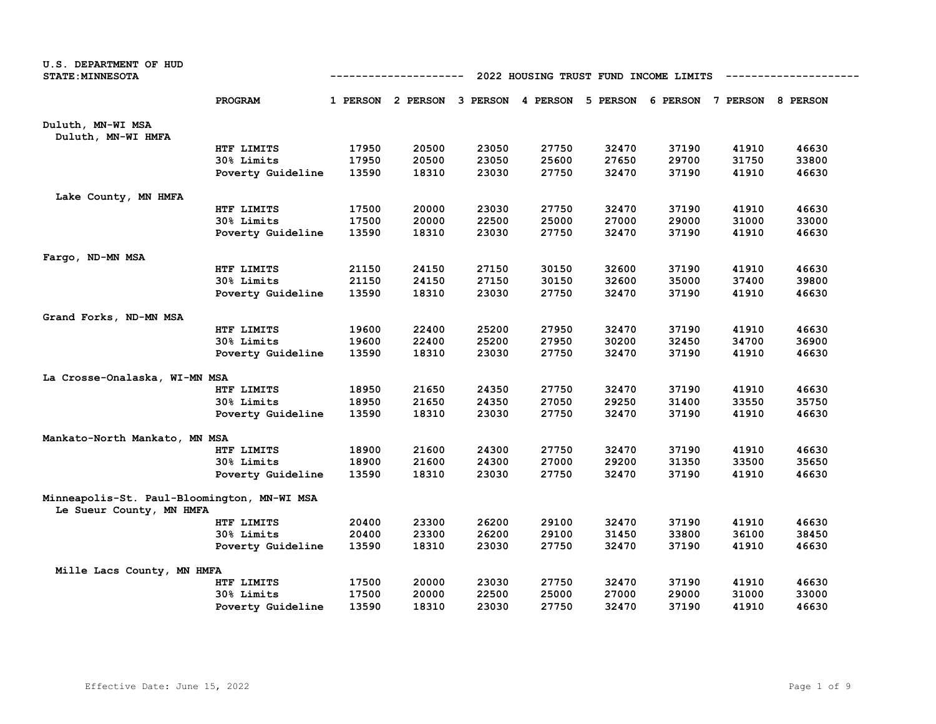| U.S. DEPARTMENT OF HUD<br><b>STATE: MINNESOTA</b>                       |                   | 2022 HOUSING TRUST FUND INCOME LIMITS<br>------------<br>1 PERSON 2 PERSON 3 PERSON 4 PERSON 5 PERSON 6 PERSON 7 PERSON 8 PERSON |       |       |       |       |       |       |       |  |  |
|-------------------------------------------------------------------------|-------------------|----------------------------------------------------------------------------------------------------------------------------------|-------|-------|-------|-------|-------|-------|-------|--|--|
|                                                                         | PROGRAM           |                                                                                                                                  |       |       |       |       |       |       |       |  |  |
| Duluth, MN-WI MSA<br>Duluth, MN-WI HMFA                                 |                   |                                                                                                                                  |       |       |       |       |       |       |       |  |  |
|                                                                         | HTF LIMITS        | 17950                                                                                                                            | 20500 | 23050 | 27750 | 32470 | 37190 | 41910 | 46630 |  |  |
|                                                                         | 30% Limits        | 17950                                                                                                                            | 20500 | 23050 | 25600 | 27650 | 29700 | 31750 | 33800 |  |  |
|                                                                         | Poverty Guideline | 13590                                                                                                                            | 18310 | 23030 | 27750 | 32470 | 37190 | 41910 | 46630 |  |  |
| Lake County, MN HMFA                                                    |                   |                                                                                                                                  |       |       |       |       |       |       |       |  |  |
|                                                                         | HTF LIMITS        | 17500                                                                                                                            | 20000 | 23030 | 27750 | 32470 | 37190 | 41910 | 46630 |  |  |
|                                                                         | 30% Limits        | 17500                                                                                                                            | 20000 | 22500 | 25000 | 27000 | 29000 | 31000 | 33000 |  |  |
|                                                                         | Poverty Guideline | 13590                                                                                                                            | 18310 | 23030 | 27750 | 32470 | 37190 | 41910 | 46630 |  |  |
| Fargo, ND-MN MSA                                                        |                   |                                                                                                                                  |       |       |       |       |       |       |       |  |  |
|                                                                         | HTF LIMITS        | 21150                                                                                                                            | 24150 | 27150 | 30150 | 32600 | 37190 | 41910 | 46630 |  |  |
|                                                                         | 30% Limits        | 21150                                                                                                                            | 24150 | 27150 | 30150 | 32600 | 35000 | 37400 | 39800 |  |  |
|                                                                         | Poverty Guideline | 13590                                                                                                                            | 18310 | 23030 | 27750 | 32470 | 37190 | 41910 | 46630 |  |  |
| Grand Forks, ND-MN MSA                                                  |                   |                                                                                                                                  |       |       |       |       |       |       |       |  |  |
|                                                                         | HTF LIMITS        | 19600                                                                                                                            | 22400 | 25200 | 27950 | 32470 | 37190 | 41910 | 46630 |  |  |
|                                                                         | 30% Limits        | 19600                                                                                                                            | 22400 | 25200 | 27950 | 30200 | 32450 | 34700 | 36900 |  |  |
|                                                                         | Poverty Guideline | 13590                                                                                                                            | 18310 | 23030 | 27750 | 32470 | 37190 | 41910 | 46630 |  |  |
| La Crosse-Onalaska, WI-MN MSA                                           |                   |                                                                                                                                  |       |       |       |       |       |       |       |  |  |
|                                                                         | HTF LIMITS        | 18950                                                                                                                            | 21650 | 24350 | 27750 | 32470 | 37190 | 41910 | 46630 |  |  |
|                                                                         | 30% Limits        | 18950                                                                                                                            | 21650 | 24350 | 27050 | 29250 | 31400 | 33550 | 35750 |  |  |
|                                                                         | Poverty Guideline | 13590                                                                                                                            | 18310 | 23030 | 27750 | 32470 | 37190 | 41910 | 46630 |  |  |
| Mankato-North Mankato, MN MSA                                           |                   |                                                                                                                                  |       |       |       |       |       |       |       |  |  |
|                                                                         | HTF LIMITS        | 18900                                                                                                                            | 21600 | 24300 | 27750 | 32470 | 37190 | 41910 | 46630 |  |  |
|                                                                         | 30% Limits        | 18900                                                                                                                            | 21600 | 24300 | 27000 | 29200 | 31350 | 33500 | 35650 |  |  |
|                                                                         | Poverty Guideline | 13590                                                                                                                            | 18310 | 23030 | 27750 | 32470 | 37190 | 41910 | 46630 |  |  |
| Minneapolis-St. Paul-Bloomington, MN-WI MSA<br>Le Sueur County, MN HMFA |                   |                                                                                                                                  |       |       |       |       |       |       |       |  |  |
|                                                                         | HTF LIMITS        | 20400                                                                                                                            | 23300 | 26200 | 29100 | 32470 | 37190 | 41910 | 46630 |  |  |
|                                                                         | 30% Limits        | 20400                                                                                                                            | 23300 | 26200 | 29100 | 31450 | 33800 | 36100 | 38450 |  |  |
|                                                                         | Poverty Guideline | 13590                                                                                                                            | 18310 | 23030 | 27750 | 32470 | 37190 | 41910 | 46630 |  |  |
| Mille Lacs County, MN HMFA                                              |                   |                                                                                                                                  |       |       |       |       |       |       |       |  |  |
|                                                                         | HTF LIMITS        | 17500                                                                                                                            | 20000 | 23030 | 27750 | 32470 | 37190 | 41910 | 46630 |  |  |
|                                                                         | 30% Limits        | 17500                                                                                                                            | 20000 | 22500 | 25000 | 27000 | 29000 | 31000 | 33000 |  |  |
|                                                                         | Poverty Guideline | 13590                                                                                                                            | 18310 | 23030 | 27750 | 32470 | 37190 | 41910 | 46630 |  |  |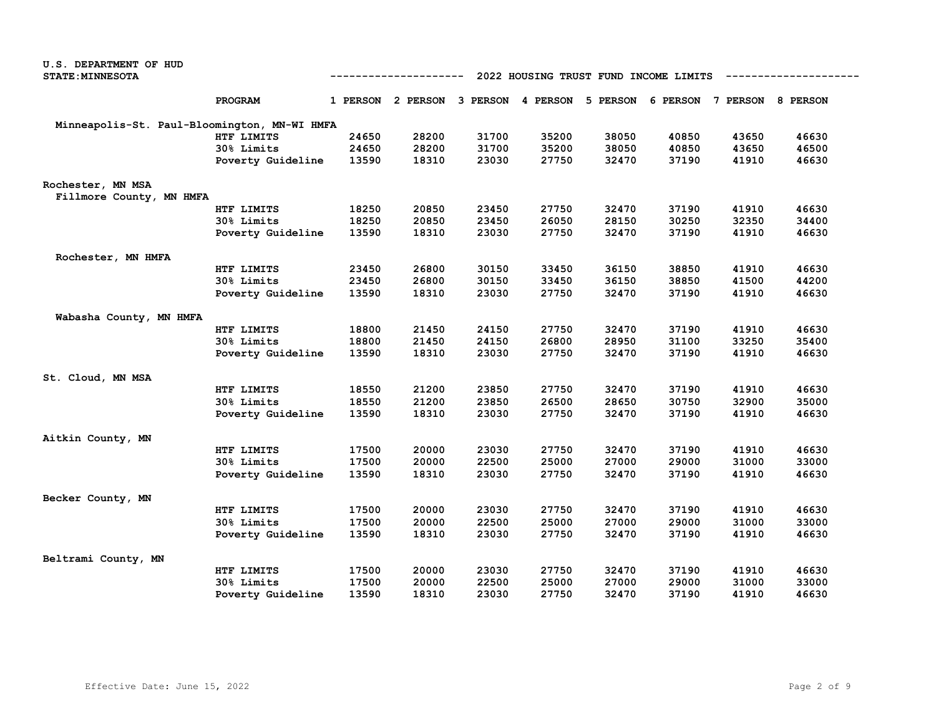| U.S. DEPARTMENT OF HUD                       |                   |       |                                                                         |       |       |       |                                       |       |       |
|----------------------------------------------|-------------------|-------|-------------------------------------------------------------------------|-------|-------|-------|---------------------------------------|-------|-------|
| <b>STATE: MINNESOTA</b>                      |                   |       | ------------                                                            |       |       |       | 2022 HOUSING TRUST FUND INCOME LIMITS |       |       |
|                                              | PROGRAM           |       | 1 PERSON 2 PERSON 3 PERSON 4 PERSON 5 PERSON 6 PERSON 7 PERSON 8 PERSON |       |       |       |                                       |       |       |
| Minneapolis-St. Paul-Bloomington, MN-WI HMFA |                   |       |                                                                         |       |       |       |                                       |       |       |
|                                              | HTF LIMITS        | 24650 | 28200                                                                   | 31700 | 35200 | 38050 | 40850                                 | 43650 | 46630 |
|                                              | 30% Limits        | 24650 | 28200                                                                   | 31700 | 35200 | 38050 | 40850                                 | 43650 | 46500 |
|                                              | Poverty Guideline | 13590 | 18310                                                                   | 23030 | 27750 | 32470 | 37190                                 | 41910 | 46630 |
| Rochester, MN MSA                            |                   |       |                                                                         |       |       |       |                                       |       |       |
| Fillmore County, MN HMFA                     |                   |       |                                                                         |       |       |       |                                       |       |       |
|                                              | HTF LIMITS        | 18250 | 20850                                                                   | 23450 | 27750 | 32470 | 37190                                 | 41910 | 46630 |
|                                              | 30% Limits        | 18250 | 20850                                                                   | 23450 | 26050 | 28150 | 30250                                 | 32350 | 34400 |
|                                              | Poverty Guideline | 13590 | 18310                                                                   | 23030 | 27750 | 32470 | 37190                                 | 41910 | 46630 |
| Rochester, MN HMFA                           |                   |       |                                                                         |       |       |       |                                       |       |       |
|                                              | HTF LIMITS        | 23450 | 26800                                                                   | 30150 | 33450 | 36150 | 38850                                 | 41910 | 46630 |
|                                              | 30% Limits        | 23450 | 26800                                                                   | 30150 | 33450 | 36150 | 38850                                 | 41500 | 44200 |
|                                              | Poverty Guideline | 13590 | 18310                                                                   | 23030 | 27750 | 32470 | 37190                                 | 41910 | 46630 |
| Wabasha County, MN HMFA                      |                   |       |                                                                         |       |       |       |                                       |       |       |
|                                              | HTF LIMITS        | 18800 | 21450                                                                   | 24150 | 27750 | 32470 | 37190                                 | 41910 | 46630 |
|                                              | 30% Limits        | 18800 | 21450                                                                   | 24150 | 26800 | 28950 | 31100                                 | 33250 | 35400 |
|                                              | Poverty Guideline | 13590 | 18310                                                                   | 23030 | 27750 | 32470 | 37190                                 | 41910 | 46630 |
| St. Cloud, MN MSA                            |                   |       |                                                                         |       |       |       |                                       |       |       |
|                                              | HTF LIMITS        | 18550 | 21200                                                                   | 23850 | 27750 | 32470 | 37190                                 | 41910 | 46630 |
|                                              | 30% Limits        | 18550 | 21200                                                                   | 23850 | 26500 | 28650 | 30750                                 | 32900 | 35000 |
|                                              | Poverty Guideline | 13590 | 18310                                                                   | 23030 | 27750 | 32470 | 37190                                 | 41910 | 46630 |
| Aitkin County, MN                            |                   |       |                                                                         |       |       |       |                                       |       |       |
|                                              | HTF LIMITS        | 17500 | 20000                                                                   | 23030 | 27750 | 32470 | 37190                                 | 41910 | 46630 |
|                                              | 30% Limits        | 17500 | 20000                                                                   | 22500 | 25000 | 27000 | 29000                                 | 31000 | 33000 |
|                                              | Poverty Guideline | 13590 | 18310                                                                   | 23030 | 27750 | 32470 | 37190                                 | 41910 | 46630 |
| Becker County, MN                            |                   |       |                                                                         |       |       |       |                                       |       |       |
|                                              | HTF LIMITS        | 17500 | 20000                                                                   | 23030 | 27750 | 32470 | 37190                                 | 41910 | 46630 |
|                                              | 30% Limits        | 17500 | 20000                                                                   | 22500 | 25000 | 27000 | 29000                                 | 31000 | 33000 |
|                                              | Poverty Guideline | 13590 | 18310                                                                   | 23030 | 27750 | 32470 | 37190                                 | 41910 | 46630 |
| Beltrami County, MN                          |                   |       |                                                                         |       |       |       |                                       |       |       |
|                                              | HTF LIMITS        | 17500 | 20000                                                                   | 23030 | 27750 | 32470 | 37190                                 | 41910 | 46630 |
|                                              | 30% Limits        | 17500 | 20000                                                                   | 22500 | 25000 | 27000 | 29000                                 | 31000 | 33000 |
|                                              | Poverty Guideline | 13590 | 18310                                                                   | 23030 | 27750 | 32470 | 37190                                 | 41910 | 46630 |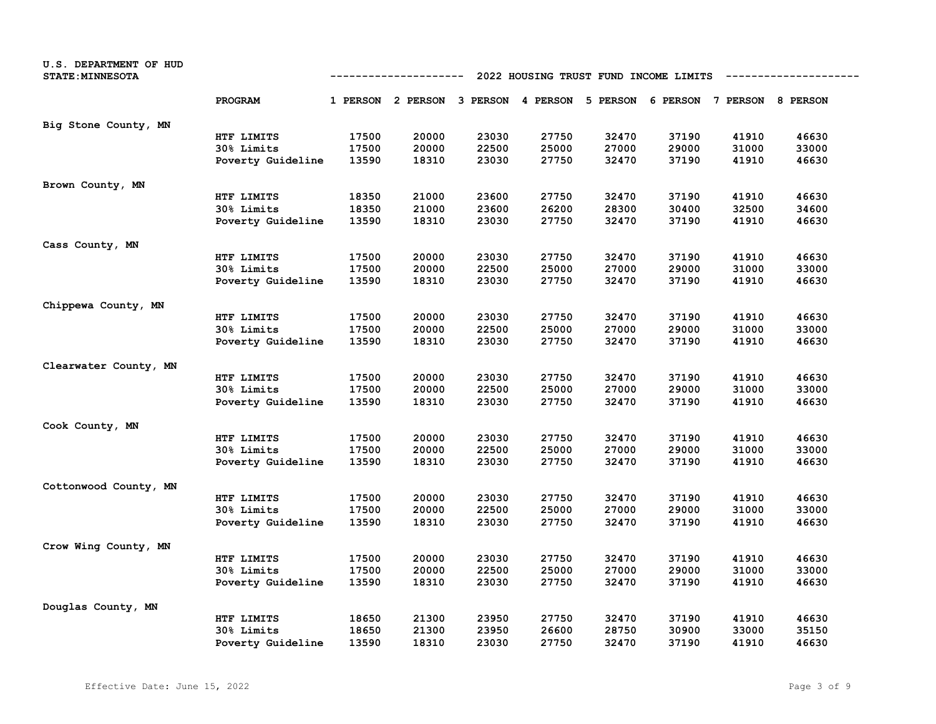| U.S. DEPARTMENT OF HUD<br><b>STATE: MINNESOTA</b> |                   | 2022 HOUSING TRUST FUND INCOME LIMITS<br>----------- |                                                                         |       |       |       |       |       |       |  |
|---------------------------------------------------|-------------------|------------------------------------------------------|-------------------------------------------------------------------------|-------|-------|-------|-------|-------|-------|--|
|                                                   | PROGRAM           |                                                      | 1 PERSON 2 PERSON 3 PERSON 4 PERSON 5 PERSON 6 PERSON 7 PERSON 8 PERSON |       |       |       |       |       |       |  |
| Big Stone County, MN                              |                   |                                                      |                                                                         |       |       |       |       |       |       |  |
|                                                   | HTF LIMITS        | 17500                                                | 20000                                                                   | 23030 | 27750 | 32470 | 37190 | 41910 | 46630 |  |
|                                                   | 30% Limits        | 17500                                                | 20000                                                                   | 22500 | 25000 | 27000 | 29000 | 31000 | 33000 |  |
|                                                   | Poverty Guideline | 13590                                                | 18310                                                                   | 23030 | 27750 | 32470 | 37190 | 41910 | 46630 |  |
| Brown County, MN                                  |                   |                                                      |                                                                         |       |       |       |       |       |       |  |
|                                                   | HTF LIMITS        | 18350                                                | 21000                                                                   | 23600 | 27750 | 32470 | 37190 | 41910 | 46630 |  |
|                                                   | 30% Limits        | 18350                                                | 21000                                                                   | 23600 | 26200 | 28300 | 30400 | 32500 | 34600 |  |
|                                                   | Poverty Guideline | 13590                                                | 18310                                                                   | 23030 | 27750 | 32470 | 37190 | 41910 | 46630 |  |
| Cass County, MN                                   |                   |                                                      |                                                                         |       |       |       |       |       |       |  |
|                                                   | HTF LIMITS        | 17500                                                | 20000                                                                   | 23030 | 27750 | 32470 | 37190 | 41910 | 46630 |  |
|                                                   | 30% Limits        | 17500                                                | 20000                                                                   | 22500 | 25000 | 27000 | 29000 | 31000 | 33000 |  |
|                                                   | Poverty Guideline | 13590                                                | 18310                                                                   | 23030 | 27750 | 32470 | 37190 | 41910 | 46630 |  |
| Chippewa County, MN                               |                   |                                                      |                                                                         |       |       |       |       |       |       |  |
|                                                   | HTF LIMITS        | 17500                                                | 20000                                                                   | 23030 | 27750 | 32470 | 37190 | 41910 | 46630 |  |
|                                                   | 30% Limits        | 17500                                                | 20000                                                                   | 22500 | 25000 | 27000 | 29000 | 31000 | 33000 |  |
|                                                   | Poverty Guideline | 13590                                                | 18310                                                                   | 23030 | 27750 | 32470 | 37190 | 41910 | 46630 |  |
| Clearwater County, MN                             |                   |                                                      |                                                                         |       |       |       |       |       |       |  |
|                                                   | HTF LIMITS        | 17500                                                | 20000                                                                   | 23030 | 27750 | 32470 | 37190 | 41910 | 46630 |  |
|                                                   | 30% Limits        | 17500                                                | 20000                                                                   | 22500 | 25000 | 27000 | 29000 | 31000 | 33000 |  |
|                                                   | Poverty Guideline | 13590                                                | 18310                                                                   | 23030 | 27750 | 32470 | 37190 | 41910 | 46630 |  |
| Cook County, MN                                   |                   |                                                      |                                                                         |       |       |       |       |       |       |  |
|                                                   | HTF LIMITS        | 17500                                                | 20000                                                                   | 23030 | 27750 | 32470 | 37190 | 41910 | 46630 |  |
|                                                   | 30% Limits        | 17500                                                | 20000                                                                   | 22500 | 25000 | 27000 | 29000 | 31000 | 33000 |  |
|                                                   | Poverty Guideline | 13590                                                | 18310                                                                   | 23030 | 27750 | 32470 | 37190 | 41910 | 46630 |  |
| Cottonwood County, MN                             |                   |                                                      |                                                                         |       |       |       |       |       |       |  |
|                                                   | HTF LIMITS        | 17500                                                | 20000                                                                   | 23030 | 27750 | 32470 | 37190 | 41910 | 46630 |  |
|                                                   | 30% Limits        | 17500                                                | 20000                                                                   | 22500 | 25000 | 27000 | 29000 | 31000 | 33000 |  |
|                                                   | Poverty Guideline | 13590                                                | 18310                                                                   | 23030 | 27750 | 32470 | 37190 | 41910 | 46630 |  |
| Crow Wing County, MN                              |                   |                                                      |                                                                         |       |       |       |       |       |       |  |
|                                                   | HTF LIMITS        | 17500                                                | 20000                                                                   | 23030 | 27750 | 32470 | 37190 | 41910 | 46630 |  |
|                                                   | 30% Limits        | 17500                                                | 20000                                                                   | 22500 | 25000 | 27000 | 29000 | 31000 | 33000 |  |
|                                                   | Poverty Guideline | 13590                                                | 18310                                                                   | 23030 | 27750 | 32470 | 37190 | 41910 | 46630 |  |
| Douglas County, MN                                |                   |                                                      |                                                                         |       |       |       |       |       |       |  |
|                                                   | HTF LIMITS        | 18650                                                | 21300                                                                   | 23950 | 27750 | 32470 | 37190 | 41910 | 46630 |  |
|                                                   | 30% Limits        | 18650                                                | 21300                                                                   | 23950 | 26600 | 28750 | 30900 | 33000 | 35150 |  |
|                                                   | Poverty Guideline | 13590                                                | 18310                                                                   | 23030 | 27750 | 32470 | 37190 | 41910 | 46630 |  |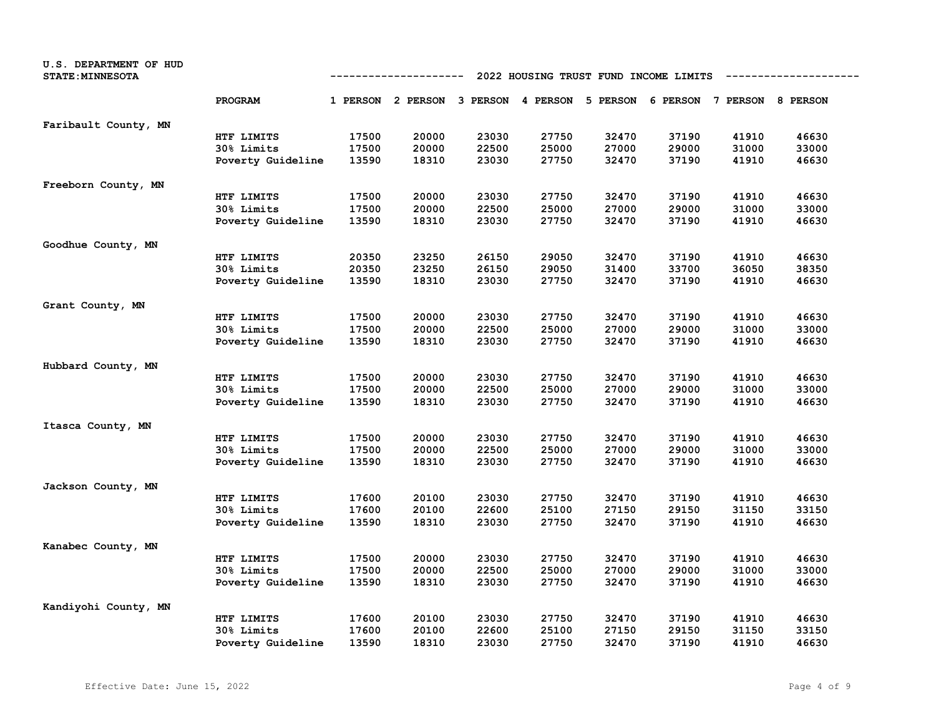| U.S. DEPARTMENT OF HUD<br><b>STATE: MINNESOTA</b> | 2022 HOUSING TRUST FUND INCOME LIMITS<br>------------ |       |                                                                         |       |       |       |       |       |       |
|---------------------------------------------------|-------------------------------------------------------|-------|-------------------------------------------------------------------------|-------|-------|-------|-------|-------|-------|
|                                                   | PROGRAM                                               |       | 1 PERSON 2 PERSON 3 PERSON 4 PERSON 5 PERSON 6 PERSON 7 PERSON 8 PERSON |       |       |       |       |       |       |
| Faribault County, MN                              |                                                       |       |                                                                         |       |       |       |       |       |       |
|                                                   | HTF LIMITS                                            | 17500 | 20000                                                                   | 23030 | 27750 | 32470 | 37190 | 41910 | 46630 |
|                                                   | 30% Limits                                            | 17500 | 20000                                                                   | 22500 | 25000 | 27000 | 29000 | 31000 | 33000 |
|                                                   | Poverty Guideline                                     | 13590 | 18310                                                                   | 23030 | 27750 | 32470 | 37190 | 41910 | 46630 |
| Freeborn County, MN                               |                                                       |       |                                                                         |       |       |       |       |       |       |
|                                                   | HTF LIMITS                                            | 17500 | 20000                                                                   | 23030 | 27750 | 32470 | 37190 | 41910 | 46630 |
|                                                   | 30% Limits                                            | 17500 | 20000                                                                   | 22500 | 25000 | 27000 | 29000 | 31000 | 33000 |
|                                                   | Poverty Guideline                                     | 13590 | 18310                                                                   | 23030 | 27750 | 32470 | 37190 | 41910 | 46630 |
| Goodhue County, MN                                |                                                       |       |                                                                         |       |       |       |       |       |       |
|                                                   | HTF LIMITS                                            | 20350 | 23250                                                                   | 26150 | 29050 | 32470 | 37190 | 41910 | 46630 |
|                                                   | 30% Limits                                            | 20350 | 23250                                                                   | 26150 | 29050 | 31400 | 33700 | 36050 | 38350 |
|                                                   | Poverty Guideline                                     | 13590 | 18310                                                                   | 23030 | 27750 | 32470 | 37190 | 41910 | 46630 |
| Grant County, MN                                  |                                                       |       |                                                                         |       |       |       |       |       |       |
|                                                   | HTF LIMITS                                            | 17500 | 20000                                                                   | 23030 | 27750 | 32470 | 37190 | 41910 | 46630 |
|                                                   | 30% Limits                                            | 17500 | 20000                                                                   | 22500 | 25000 | 27000 | 29000 | 31000 | 33000 |
|                                                   | Poverty Guideline                                     | 13590 | 18310                                                                   | 23030 | 27750 | 32470 | 37190 | 41910 | 46630 |
| Hubbard County, MN                                |                                                       |       |                                                                         |       |       |       |       |       |       |
|                                                   | HTF LIMITS                                            | 17500 | 20000                                                                   | 23030 | 27750 | 32470 | 37190 | 41910 | 46630 |
|                                                   | 30% Limits                                            | 17500 | 20000                                                                   | 22500 | 25000 | 27000 | 29000 | 31000 | 33000 |
|                                                   | Poverty Guideline                                     | 13590 | 18310                                                                   | 23030 | 27750 | 32470 | 37190 | 41910 | 46630 |
| Itasca County, MN                                 |                                                       |       |                                                                         |       |       |       |       |       |       |
|                                                   | HTF LIMITS                                            | 17500 | 20000                                                                   | 23030 | 27750 | 32470 | 37190 | 41910 | 46630 |
|                                                   | 30% Limits                                            | 17500 | 20000                                                                   | 22500 | 25000 | 27000 | 29000 | 31000 | 33000 |
|                                                   | Poverty Guideline                                     | 13590 | 18310                                                                   | 23030 | 27750 | 32470 | 37190 | 41910 | 46630 |
| Jackson County, MN                                |                                                       |       |                                                                         |       |       |       |       |       |       |
|                                                   | HTF LIMITS                                            | 17600 | 20100                                                                   | 23030 | 27750 | 32470 | 37190 | 41910 | 46630 |
|                                                   | 30% Limits                                            | 17600 | 20100                                                                   | 22600 | 25100 | 27150 | 29150 | 31150 | 33150 |
|                                                   | Poverty Guideline                                     | 13590 | 18310                                                                   | 23030 | 27750 | 32470 | 37190 | 41910 | 46630 |
| Kanabec County, MN                                |                                                       |       |                                                                         |       |       |       |       |       |       |
|                                                   | HTF LIMITS                                            | 17500 | 20000                                                                   | 23030 | 27750 | 32470 | 37190 | 41910 | 46630 |
|                                                   | 30% Limits                                            | 17500 | 20000                                                                   | 22500 | 25000 | 27000 | 29000 | 31000 | 33000 |
|                                                   | Poverty Guideline                                     | 13590 | 18310                                                                   | 23030 | 27750 | 32470 | 37190 | 41910 | 46630 |
| Kandiyohi County, MN                              |                                                       |       |                                                                         |       |       |       |       |       |       |
|                                                   | HTF LIMITS                                            | 17600 | 20100                                                                   | 23030 | 27750 | 32470 | 37190 | 41910 | 46630 |
|                                                   | 30% Limits                                            | 17600 | 20100                                                                   | 22600 | 25100 | 27150 | 29150 | 31150 | 33150 |
|                                                   | Poverty Guideline                                     | 13590 | 18310                                                                   | 23030 | 27750 | 32470 | 37190 | 41910 | 46630 |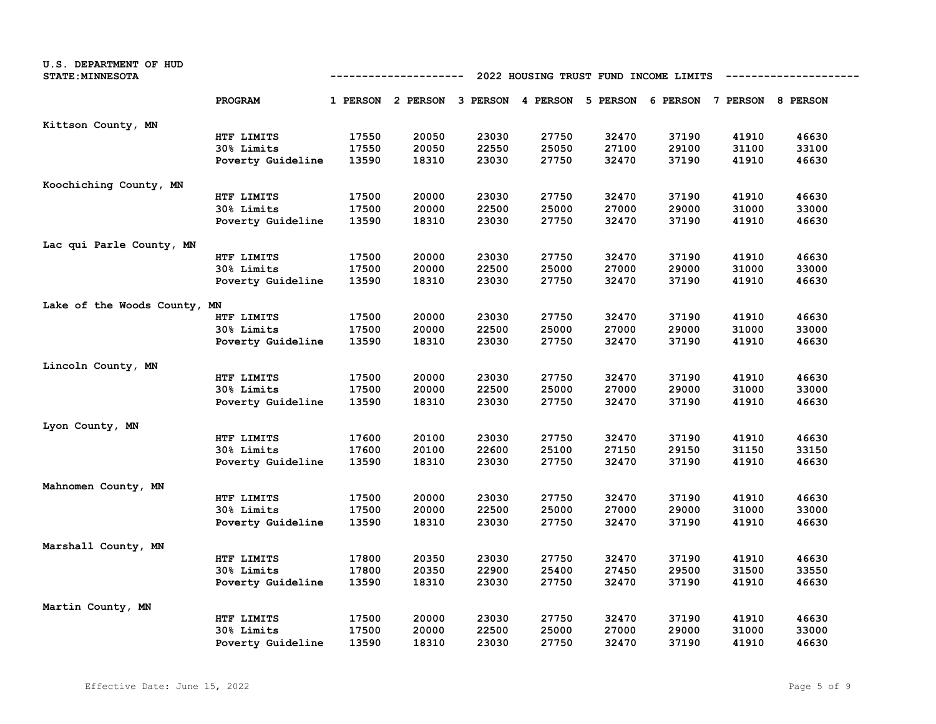| U.S. DEPARTMENT OF HUD<br><b>STATE: MINNESOTA</b> |                   | 2022 HOUSING TRUST FUND INCOME LIMITS<br>----------- |                                                                         |       |       |       |       |       |       |  |
|---------------------------------------------------|-------------------|------------------------------------------------------|-------------------------------------------------------------------------|-------|-------|-------|-------|-------|-------|--|
|                                                   | PROGRAM           |                                                      | 1 PERSON 2 PERSON 3 PERSON 4 PERSON 5 PERSON 6 PERSON 7 PERSON 8 PERSON |       |       |       |       |       |       |  |
| Kittson County, MN                                |                   |                                                      |                                                                         |       |       |       |       |       |       |  |
|                                                   | HTF LIMITS        | 17550                                                | 20050                                                                   | 23030 | 27750 | 32470 | 37190 | 41910 | 46630 |  |
|                                                   | 30% Limits        | 17550                                                | 20050                                                                   | 22550 | 25050 | 27100 | 29100 | 31100 | 33100 |  |
|                                                   | Poverty Guideline | 13590                                                | 18310                                                                   | 23030 | 27750 | 32470 | 37190 | 41910 | 46630 |  |
| Koochiching County, MN                            |                   |                                                      |                                                                         |       |       |       |       |       |       |  |
|                                                   | HTF LIMITS        | 17500                                                | 20000                                                                   | 23030 | 27750 | 32470 | 37190 | 41910 | 46630 |  |
|                                                   | 30% Limits        | 17500                                                | 20000                                                                   | 22500 | 25000 | 27000 | 29000 | 31000 | 33000 |  |
|                                                   | Poverty Guideline | 13590                                                | 18310                                                                   | 23030 | 27750 | 32470 | 37190 | 41910 | 46630 |  |
| Lac qui Parle County, MN                          |                   |                                                      |                                                                         |       |       |       |       |       |       |  |
|                                                   | HTF LIMITS        | 17500                                                | 20000                                                                   | 23030 | 27750 | 32470 | 37190 | 41910 | 46630 |  |
|                                                   | 30% Limits        | 17500                                                | 20000                                                                   | 22500 | 25000 | 27000 | 29000 | 31000 | 33000 |  |
|                                                   | Poverty Guideline | 13590                                                | 18310                                                                   | 23030 | 27750 | 32470 | 37190 | 41910 | 46630 |  |
| Lake of the Woods County, MN                      |                   |                                                      |                                                                         |       |       |       |       |       |       |  |
|                                                   | HTF LIMITS        | 17500                                                | 20000                                                                   | 23030 | 27750 | 32470 | 37190 | 41910 | 46630 |  |
|                                                   | 30% Limits        | 17500                                                | 20000                                                                   | 22500 | 25000 | 27000 | 29000 | 31000 | 33000 |  |
|                                                   | Poverty Guideline | 13590                                                | 18310                                                                   | 23030 | 27750 | 32470 | 37190 | 41910 | 46630 |  |
| Lincoln County, MN                                |                   |                                                      |                                                                         |       |       |       |       |       |       |  |
|                                                   | HTF LIMITS        | 17500                                                | 20000                                                                   | 23030 | 27750 | 32470 | 37190 | 41910 | 46630 |  |
|                                                   | 30% Limits        | 17500                                                | 20000                                                                   | 22500 | 25000 | 27000 | 29000 | 31000 | 33000 |  |
|                                                   | Poverty Guideline | 13590                                                | 18310                                                                   | 23030 | 27750 | 32470 | 37190 | 41910 | 46630 |  |
| Lyon County, MN                                   |                   |                                                      |                                                                         |       |       |       |       |       |       |  |
|                                                   | HTF LIMITS        | 17600                                                | 20100                                                                   | 23030 | 27750 | 32470 | 37190 | 41910 | 46630 |  |
|                                                   | 30% Limits        | 17600                                                | 20100                                                                   | 22600 | 25100 | 27150 | 29150 | 31150 | 33150 |  |
|                                                   | Poverty Guideline | 13590                                                | 18310                                                                   | 23030 | 27750 | 32470 | 37190 | 41910 | 46630 |  |
| Mahnomen County, MN                               |                   |                                                      |                                                                         |       |       |       |       |       |       |  |
|                                                   | HTF LIMITS        | 17500                                                | 20000                                                                   | 23030 | 27750 | 32470 | 37190 | 41910 | 46630 |  |
|                                                   | 30% Limits        | 17500                                                | 20000                                                                   | 22500 | 25000 | 27000 | 29000 | 31000 | 33000 |  |
|                                                   | Poverty Guideline | 13590                                                | 18310                                                                   | 23030 | 27750 | 32470 | 37190 | 41910 | 46630 |  |
| Marshall County, MN                               |                   |                                                      |                                                                         |       |       |       |       |       |       |  |
|                                                   | HTF LIMITS        | 17800                                                | 20350                                                                   | 23030 | 27750 | 32470 | 37190 | 41910 | 46630 |  |
|                                                   | 30% Limits        | 17800                                                | 20350                                                                   | 22900 | 25400 | 27450 | 29500 | 31500 | 33550 |  |
|                                                   | Poverty Guideline | 13590                                                | 18310                                                                   | 23030 | 27750 | 32470 | 37190 | 41910 | 46630 |  |
| Martin County, MN                                 |                   |                                                      |                                                                         |       |       |       |       |       |       |  |
|                                                   | HTF LIMITS        | 17500                                                | 20000                                                                   | 23030 | 27750 | 32470 | 37190 | 41910 | 46630 |  |
|                                                   | 30% Limits        | 17500                                                | 20000                                                                   | 22500 | 25000 | 27000 | 29000 | 31000 | 33000 |  |
|                                                   | Poverty Guideline | 13590                                                | 18310                                                                   | 23030 | 27750 | 32470 | 37190 | 41910 | 46630 |  |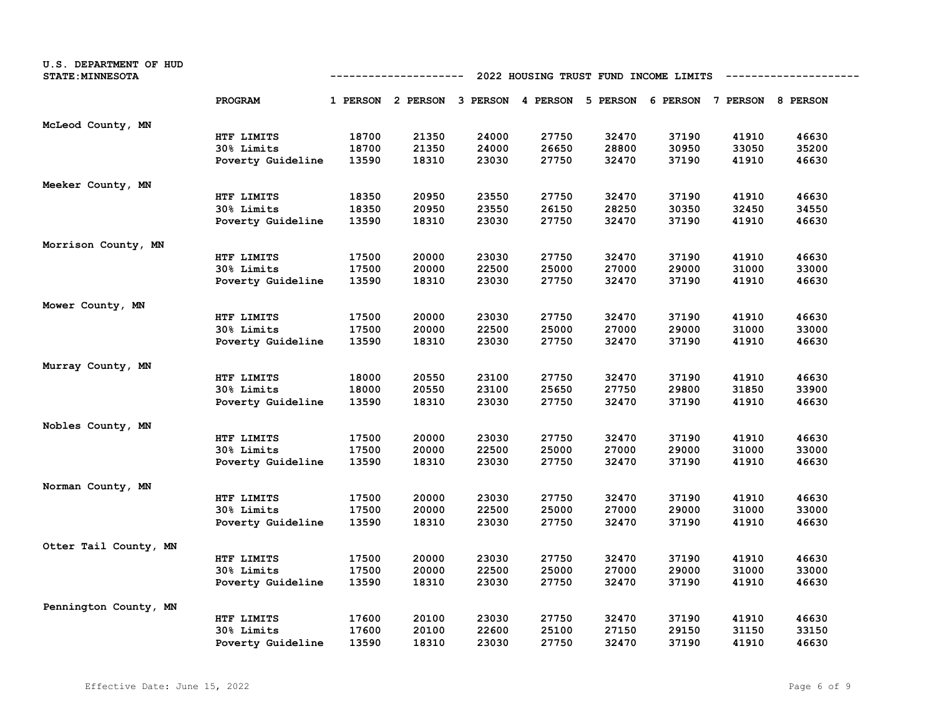| U.S. DEPARTMENT OF HUD<br><b>STATE: MINNESOTA</b> | 2022 HOUSING TRUST FUND INCOME LIMITS<br>----------- |       |                                                                         |       |       |       |       |       |       |
|---------------------------------------------------|------------------------------------------------------|-------|-------------------------------------------------------------------------|-------|-------|-------|-------|-------|-------|
|                                                   | PROGRAM                                              |       | 1 PERSON 2 PERSON 3 PERSON 4 PERSON 5 PERSON 6 PERSON 7 PERSON 8 PERSON |       |       |       |       |       |       |
| McLeod County, MN                                 |                                                      |       |                                                                         |       |       |       |       |       |       |
|                                                   | HTF LIMITS                                           | 18700 | 21350                                                                   | 24000 | 27750 | 32470 | 37190 | 41910 | 46630 |
|                                                   | 30% Limits                                           | 18700 | 21350                                                                   | 24000 | 26650 | 28800 | 30950 | 33050 | 35200 |
|                                                   | Poverty Guideline                                    | 13590 | 18310                                                                   | 23030 | 27750 | 32470 | 37190 | 41910 | 46630 |
| Meeker County, MN                                 |                                                      |       |                                                                         |       |       |       |       |       |       |
|                                                   | HTF LIMITS                                           | 18350 | 20950                                                                   | 23550 | 27750 | 32470 | 37190 | 41910 | 46630 |
|                                                   | 30% Limits                                           | 18350 | 20950                                                                   | 23550 | 26150 | 28250 | 30350 | 32450 | 34550 |
|                                                   | Poverty Guideline                                    | 13590 | 18310                                                                   | 23030 | 27750 | 32470 | 37190 | 41910 | 46630 |
| Morrison County, MN                               |                                                      |       |                                                                         |       |       |       |       |       |       |
|                                                   | HTF LIMITS                                           | 17500 | 20000                                                                   | 23030 | 27750 | 32470 | 37190 | 41910 | 46630 |
|                                                   | 30% Limits                                           | 17500 | 20000                                                                   | 22500 | 25000 | 27000 | 29000 | 31000 | 33000 |
|                                                   | Poverty Guideline                                    | 13590 | 18310                                                                   | 23030 | 27750 | 32470 | 37190 | 41910 | 46630 |
| Mower County, MN                                  |                                                      |       |                                                                         |       |       |       |       |       |       |
|                                                   | HTF LIMITS                                           | 17500 | 20000                                                                   | 23030 | 27750 | 32470 | 37190 | 41910 | 46630 |
|                                                   | 30% Limits                                           | 17500 | 20000                                                                   | 22500 | 25000 | 27000 | 29000 | 31000 | 33000 |
|                                                   | Poverty Guideline                                    | 13590 | 18310                                                                   | 23030 | 27750 | 32470 | 37190 | 41910 | 46630 |
| Murray County, MN                                 |                                                      |       |                                                                         |       |       |       |       |       |       |
|                                                   | HTF LIMITS                                           | 18000 | 20550                                                                   | 23100 | 27750 | 32470 | 37190 | 41910 | 46630 |
|                                                   | 30% Limits                                           | 18000 | 20550                                                                   | 23100 | 25650 | 27750 | 29800 | 31850 | 33900 |
|                                                   | Poverty Guideline                                    | 13590 | 18310                                                                   | 23030 | 27750 | 32470 | 37190 | 41910 | 46630 |
| Nobles County, MN                                 |                                                      |       |                                                                         |       |       |       |       |       |       |
|                                                   | HTF LIMITS                                           | 17500 | 20000                                                                   | 23030 | 27750 | 32470 | 37190 | 41910 | 46630 |
|                                                   | 30% Limits                                           | 17500 | 20000                                                                   | 22500 | 25000 | 27000 | 29000 | 31000 | 33000 |
|                                                   | Poverty Guideline                                    | 13590 | 18310                                                                   | 23030 | 27750 | 32470 | 37190 | 41910 | 46630 |
| Norman County, MN                                 |                                                      |       |                                                                         |       |       |       |       |       |       |
|                                                   | HTF LIMITS                                           | 17500 | 20000                                                                   | 23030 | 27750 | 32470 | 37190 | 41910 | 46630 |
|                                                   | 30% Limits                                           | 17500 | 20000                                                                   | 22500 | 25000 | 27000 | 29000 | 31000 | 33000 |
|                                                   | Poverty Guideline                                    | 13590 | 18310                                                                   | 23030 | 27750 | 32470 | 37190 | 41910 | 46630 |
| Otter Tail County, MN                             |                                                      |       |                                                                         |       |       |       |       |       |       |
|                                                   | HTF LIMITS                                           | 17500 | 20000                                                                   | 23030 | 27750 | 32470 | 37190 | 41910 | 46630 |
|                                                   | 30% Limits                                           | 17500 | 20000                                                                   | 22500 | 25000 | 27000 | 29000 | 31000 | 33000 |
|                                                   | Poverty Guideline                                    | 13590 | 18310                                                                   | 23030 | 27750 | 32470 | 37190 | 41910 | 46630 |
| Pennington County, MN                             |                                                      |       |                                                                         |       |       |       |       |       |       |
|                                                   | HTF LIMITS                                           | 17600 | 20100                                                                   | 23030 | 27750 | 32470 | 37190 | 41910 | 46630 |
|                                                   | 30% Limits                                           | 17600 | 20100                                                                   | 22600 | 25100 | 27150 | 29150 | 31150 | 33150 |
|                                                   | Poverty Guideline                                    | 13590 | 18310                                                                   | 23030 | 27750 | 32470 | 37190 | 41910 | 46630 |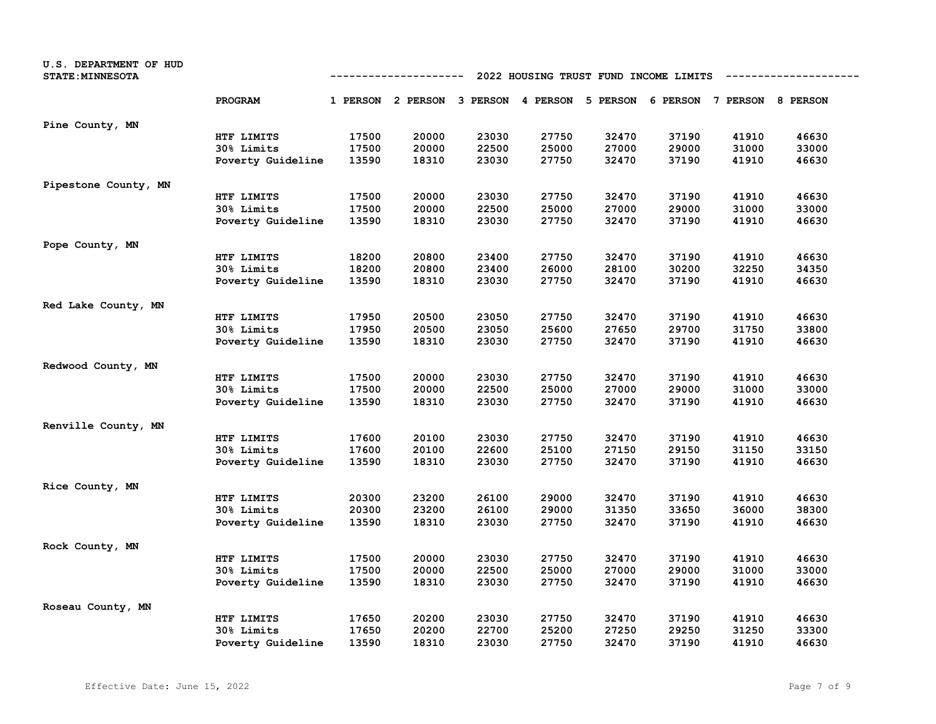| U.S. DEPARTMENT OF HUD<br><b>STATE: MINNESOTA</b> |                   | 2022 HOUSING TRUST FUND INCOME LIMITS<br>----------- |                                                                         |       |       |       |       |       |       |  |
|---------------------------------------------------|-------------------|------------------------------------------------------|-------------------------------------------------------------------------|-------|-------|-------|-------|-------|-------|--|
|                                                   | PROGRAM           |                                                      | 1 PERSON 2 PERSON 3 PERSON 4 PERSON 5 PERSON 6 PERSON 7 PERSON 8 PERSON |       |       |       |       |       |       |  |
| Pine County, MN                                   |                   |                                                      |                                                                         |       |       |       |       |       |       |  |
|                                                   | HTF LIMITS        | 17500                                                | 20000                                                                   | 23030 | 27750 | 32470 | 37190 | 41910 | 46630 |  |
|                                                   | 30% Limits        | 17500                                                | 20000                                                                   | 22500 | 25000 | 27000 | 29000 | 31000 | 33000 |  |
|                                                   | Poverty Guideline | 13590                                                | 18310                                                                   | 23030 | 27750 | 32470 | 37190 | 41910 | 46630 |  |
| Pipestone County, MN                              |                   |                                                      |                                                                         |       |       |       |       |       |       |  |
|                                                   | HTF LIMITS        | 17500                                                | 20000                                                                   | 23030 | 27750 | 32470 | 37190 | 41910 | 46630 |  |
|                                                   | 30% Limits        | 17500                                                | 20000                                                                   | 22500 | 25000 | 27000 | 29000 | 31000 | 33000 |  |
|                                                   | Poverty Guideline | 13590                                                | 18310                                                                   | 23030 | 27750 | 32470 | 37190 | 41910 | 46630 |  |
| Pope County, MN                                   |                   |                                                      |                                                                         |       |       |       |       |       |       |  |
|                                                   | HTF LIMITS        | 18200                                                | 20800                                                                   | 23400 | 27750 | 32470 | 37190 | 41910 | 46630 |  |
|                                                   | 30% Limits        | 18200                                                | 20800                                                                   | 23400 | 26000 | 28100 | 30200 | 32250 | 34350 |  |
|                                                   | Poverty Guideline | 13590                                                | 18310                                                                   | 23030 | 27750 | 32470 | 37190 | 41910 | 46630 |  |
| Red Lake County, MN                               |                   |                                                      |                                                                         |       |       |       |       |       |       |  |
|                                                   | HTF LIMITS        | 17950                                                | 20500                                                                   | 23050 | 27750 | 32470 | 37190 | 41910 | 46630 |  |
|                                                   | 30% Limits        | 17950                                                | 20500                                                                   | 23050 | 25600 | 27650 | 29700 | 31750 | 33800 |  |
|                                                   | Poverty Guideline | 13590                                                | 18310                                                                   | 23030 | 27750 | 32470 | 37190 | 41910 | 46630 |  |
| Redwood County, MN                                |                   |                                                      |                                                                         |       |       |       |       |       |       |  |
|                                                   | HTF LIMITS        | 17500                                                | 20000                                                                   | 23030 | 27750 | 32470 | 37190 | 41910 | 46630 |  |
|                                                   | 30% Limits        | 17500                                                | 20000                                                                   | 22500 | 25000 | 27000 | 29000 | 31000 | 33000 |  |
|                                                   | Poverty Guideline | 13590                                                | 18310                                                                   | 23030 | 27750 | 32470 | 37190 | 41910 | 46630 |  |
| Renville County, MN                               |                   |                                                      |                                                                         |       |       |       |       |       |       |  |
|                                                   | HTF LIMITS        | 17600                                                | 20100                                                                   | 23030 | 27750 | 32470 | 37190 | 41910 | 46630 |  |
|                                                   | 30% Limits        | 17600                                                | 20100                                                                   | 22600 | 25100 | 27150 | 29150 | 31150 | 33150 |  |
|                                                   | Poverty Guideline | 13590                                                | 18310                                                                   | 23030 | 27750 | 32470 | 37190 | 41910 | 46630 |  |
| Rice County, MN                                   |                   |                                                      |                                                                         |       |       |       |       |       |       |  |
|                                                   | HTF LIMITS        | 20300                                                | 23200                                                                   | 26100 | 29000 | 32470 | 37190 | 41910 | 46630 |  |
|                                                   | 30% Limits        | 20300                                                | 23200                                                                   | 26100 | 29000 | 31350 | 33650 | 36000 | 38300 |  |
|                                                   | Poverty Guideline | 13590                                                | 18310                                                                   | 23030 | 27750 | 32470 | 37190 | 41910 | 46630 |  |
| Rock County, MN                                   |                   |                                                      |                                                                         |       |       |       |       |       |       |  |
|                                                   | HTF LIMITS        | 17500                                                | 20000                                                                   | 23030 | 27750 | 32470 | 37190 | 41910 | 46630 |  |
|                                                   | 30% Limits        | 17500                                                | 20000                                                                   | 22500 | 25000 | 27000 | 29000 | 31000 | 33000 |  |
|                                                   | Poverty Guideline | 13590                                                | 18310                                                                   | 23030 | 27750 | 32470 | 37190 | 41910 | 46630 |  |
| Roseau County, MN                                 |                   |                                                      |                                                                         |       |       |       |       |       |       |  |
|                                                   | HTF LIMITS        | 17650                                                | 20200                                                                   | 23030 | 27750 | 32470 | 37190 | 41910 | 46630 |  |
|                                                   | 30% Limits        | 17650                                                | 20200                                                                   | 22700 | 25200 | 27250 | 29250 | 31250 | 33300 |  |
|                                                   | Poverty Guideline | 13590                                                | 18310                                                                   | 23030 | 27750 | 32470 | 37190 | 41910 | 46630 |  |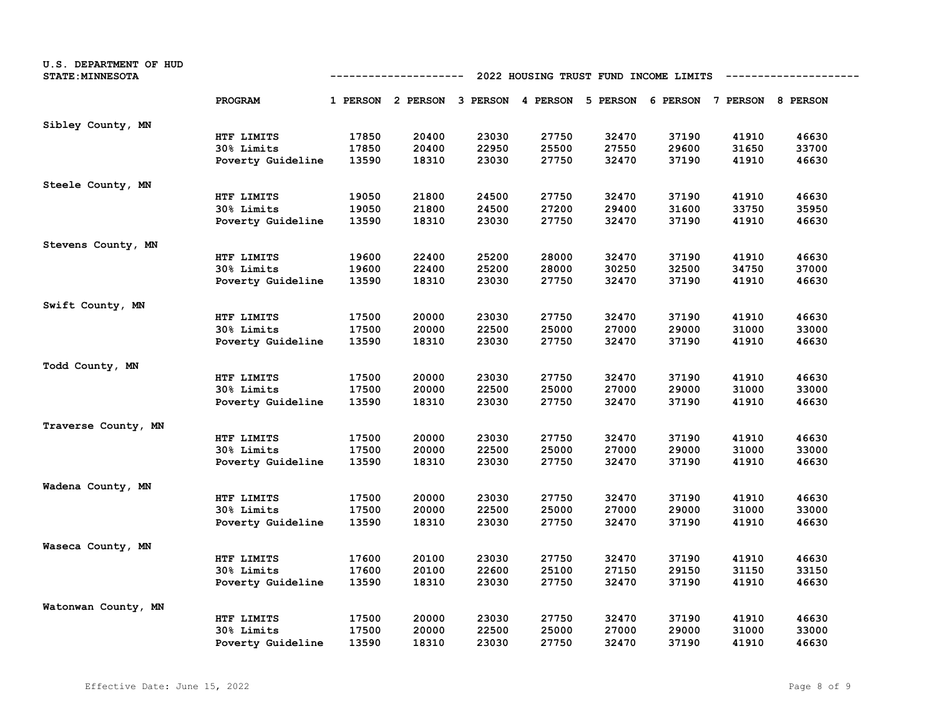| U.S. DEPARTMENT OF HUD<br><b>STATE: MINNESOTA</b> | 2022 HOUSING TRUST FUND INCOME LIMITS<br>------------ |       |                                                                         |       |       |       |       |       |       |
|---------------------------------------------------|-------------------------------------------------------|-------|-------------------------------------------------------------------------|-------|-------|-------|-------|-------|-------|
|                                                   | PROGRAM                                               |       | 1 PERSON 2 PERSON 3 PERSON 4 PERSON 5 PERSON 6 PERSON 7 PERSON 8 PERSON |       |       |       |       |       |       |
| Sibley County, MN                                 |                                                       |       |                                                                         |       |       |       |       |       |       |
|                                                   | HTF LIMITS                                            | 17850 | 20400                                                                   | 23030 | 27750 | 32470 | 37190 | 41910 | 46630 |
|                                                   | 30% Limits                                            | 17850 | 20400                                                                   | 22950 | 25500 | 27550 | 29600 | 31650 | 33700 |
|                                                   | Poverty Guideline                                     | 13590 | 18310                                                                   | 23030 | 27750 | 32470 | 37190 | 41910 | 46630 |
| Steele County, MN                                 |                                                       |       |                                                                         |       |       |       |       |       |       |
|                                                   | HTF LIMITS                                            | 19050 | 21800                                                                   | 24500 | 27750 | 32470 | 37190 | 41910 | 46630 |
|                                                   | 30% Limits                                            | 19050 | 21800                                                                   | 24500 | 27200 | 29400 | 31600 | 33750 | 35950 |
|                                                   | Poverty Guideline                                     | 13590 | 18310                                                                   | 23030 | 27750 | 32470 | 37190 | 41910 | 46630 |
| Stevens County, MN                                |                                                       |       |                                                                         |       |       |       |       |       |       |
|                                                   | HTF LIMITS                                            | 19600 | 22400                                                                   | 25200 | 28000 | 32470 | 37190 | 41910 | 46630 |
|                                                   | 30% Limits                                            | 19600 | 22400                                                                   | 25200 | 28000 | 30250 | 32500 | 34750 | 37000 |
|                                                   | Poverty Guideline                                     | 13590 | 18310                                                                   | 23030 | 27750 | 32470 | 37190 | 41910 | 46630 |
| Swift County, MN                                  |                                                       |       |                                                                         |       |       |       |       |       |       |
|                                                   | HTF LIMITS                                            | 17500 | 20000                                                                   | 23030 | 27750 | 32470 | 37190 | 41910 | 46630 |
|                                                   | 30% Limits                                            | 17500 | 20000                                                                   | 22500 | 25000 | 27000 | 29000 | 31000 | 33000 |
|                                                   | Poverty Guideline                                     | 13590 | 18310                                                                   | 23030 | 27750 | 32470 | 37190 | 41910 | 46630 |
| Todd County, MN                                   |                                                       |       |                                                                         |       |       |       |       |       |       |
|                                                   | HTF LIMITS                                            | 17500 | 20000                                                                   | 23030 | 27750 | 32470 | 37190 | 41910 | 46630 |
|                                                   | 30% Limits                                            | 17500 | 20000                                                                   | 22500 | 25000 | 27000 | 29000 | 31000 | 33000 |
|                                                   | Poverty Guideline                                     | 13590 | 18310                                                                   | 23030 | 27750 | 32470 | 37190 | 41910 | 46630 |
| Traverse County, MN                               |                                                       |       |                                                                         |       |       |       |       |       |       |
|                                                   | HTF LIMITS                                            | 17500 | 20000                                                                   | 23030 | 27750 | 32470 | 37190 | 41910 | 46630 |
|                                                   | 30% Limits                                            | 17500 | 20000                                                                   | 22500 | 25000 | 27000 | 29000 | 31000 | 33000 |
|                                                   | Poverty Guideline                                     | 13590 | 18310                                                                   | 23030 | 27750 | 32470 | 37190 | 41910 | 46630 |
| Wadena County, MN                                 |                                                       |       |                                                                         |       |       |       |       |       |       |
|                                                   | HTF LIMITS                                            | 17500 | 20000                                                                   | 23030 | 27750 | 32470 | 37190 | 41910 | 46630 |
|                                                   | 30% Limits                                            | 17500 | 20000                                                                   | 22500 | 25000 | 27000 | 29000 | 31000 | 33000 |
|                                                   | Poverty Guideline                                     | 13590 | 18310                                                                   | 23030 | 27750 | 32470 | 37190 | 41910 | 46630 |
| Waseca County, MN                                 |                                                       |       |                                                                         |       |       |       |       |       |       |
|                                                   | HTF LIMITS                                            | 17600 | 20100                                                                   | 23030 | 27750 | 32470 | 37190 | 41910 | 46630 |
|                                                   | 30% Limits                                            | 17600 | 20100                                                                   | 22600 | 25100 | 27150 | 29150 | 31150 | 33150 |
|                                                   | Poverty Guideline                                     | 13590 | 18310                                                                   | 23030 | 27750 | 32470 | 37190 | 41910 | 46630 |
| Watonwan County, MN                               |                                                       |       |                                                                         |       |       |       |       |       |       |
|                                                   | HTF LIMITS                                            | 17500 | 20000                                                                   | 23030 | 27750 | 32470 | 37190 | 41910 | 46630 |
|                                                   | 30% Limits                                            | 17500 | 20000                                                                   | 22500 | 25000 | 27000 | 29000 | 31000 | 33000 |
|                                                   | Poverty Guideline                                     | 13590 | 18310                                                                   | 23030 | 27750 | 32470 | 37190 | 41910 | 46630 |